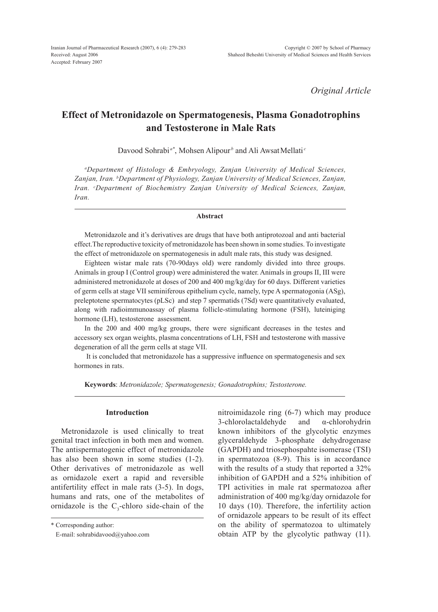*Original Article*

# **Effect of Metronidazole on Spermatogenesis, Plasma Gonadotrophins and Testosterone in Male Rats**

Davood Sohrabi<sup>a\*</sup>, Mohsen Alipour<sup>b</sup> and Ali AwsatMellati<sup>c</sup>

*a Department of Histology & Embryology, Zanjan University of Medical Sciences, Zanjan, Iran. b Department of Physiology, Zanjan University of Medical Sciences, Zanjan, Iran. c Department of Biochemistry Zanjan University of Medical Sciences, Zanjan, Iran.*

#### **Abstract**

Metronidazole and it's derivatives are drugs that have both antiprotozoal and anti bacterial effect.The reproductive toxicity of metronidazole has been shown in some studies. To investigate the effect of metronidazole on spermatogenesis in adult male rats, this study was designed.

Eighteen wistar male rats (70-90days old) were randomly divided into three groups. Animals in group I (Control group) were administered the water. Animals in groups II, III were administered metronidazole at doses of 200 and 400 mg/kg/day for 60 days. Different varieties of germ cells at stage VII seminiferous epithelium cycle, namely, type A spermatogonia (ASg), preleptotene spermatocytes (pLSc) and step 7 spermatids (7Sd) were quantitatively evaluated, along with radioimmunoassay of plasma follicle-stimulating hormone (FSH), luteiniging hormone (LH), testosterone assessment.

In the 200 and 400 mg/kg groups, there were significant decreases in the testes and accessory sex organ weights, plasma concentrations of LH, FSH and testosterone with massive degeneration of all the germ cells at stage VII.

 It is concluded that metronidazole has a suppressive influence on spermatogenesis and sex hormones in rats.

**Keywords**: *Metronidazole; Spermatogenesis; Gonadotrophins; Testosterone.*

## **Introduction**

Metronidazole is used clinically to treat genital tract infection in both men and women. The antispermatogenic effect of metronidazole has also been shown in some studies (1-2). Other derivatives of metronidazole as well as ornidazole exert a rapid and reversible antifertility effect in male rats (3-5). In dogs, humans and rats, one of the metabolites of ornidazole is the  $C_3$ -chloro side-chain of the nitroimidazole ring (6-7) which may produce 3-chlorolactaldehyde and α-chlorohydrin known inhibitors of the glycolytic enzymes glyceraldehyde 3-phosphate dehydrogenase (GAPDH) and triosephospahte isomerase (TSI) in spermatozoa (8-9). This is in accordance with the results of a study that reported a 32% inhibition of GAPDH and a 52% inhibition of TPI activities in male rat spermatozoa after administration of 400 mg/kg/day ornidazole for 10 days (10). Therefore, the infertility action of ornidazole appears to be result of its effect on the ability of spermatozoa to ultimately obtain ATP by the glycolytic pathway (11).

<sup>\*</sup> Corresponding author:

E-mail: sohrabidavood@yahoo.com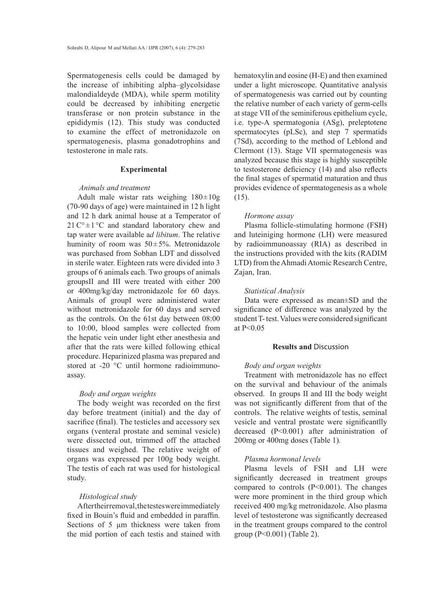Spermatogenesis cells could be damaged by the increase of inhibiting alpha–glycolsidase malondialdeyde (MDA), while sperm motility could be decreased by inhibiting energetic transferase or non protein substance in the epididymis (12). This study was conducted to examine the effect of metronidazole on spermatogenesis, plasma gonadotrophins and testosterone in male rats.

#### **Experimental**

#### *Animals and treatment*

Adult male wistar rats weighing  $180 \pm 10$ g (70-90 days of age) were maintained in 12 h light and 12 h dark animal house at a Temperator of  $21 \degree C \div 1 \degree C$  and standard laboratory chew and tap water were available a*d libitum*. The relative huminity of room was 50±5%. Metronidazole was purchased from Sobhan LDT and dissolved in sterile water. Eighteen rats were divided into 3 groups of 6 animals each. Two groups of animals groupsII and III were treated with either 200 or 400mg/kg/day metronidazole for 60 days. Animals of groupI were administered water without metronidazole for 60 days and served as the controls. On the 61st day between 08:00 to 10:00, blood samples were collected from the hepatic vein under light ether anesthesia and after that the rats were killed following ethical procedure. Heparinized plasma was prepared and stored at -20 °C until hormone radioimmunoassay.

## *Body and organ weights*

The body weight was recorded on the first day before treatment (initial) and the day of sacrifice (final). The testicles and accessory sex organs (venteral prostate and seminal vesicle) were dissected out, trimmed off the attached tissues and weighed. The relative weight of organs was expressed per 100g body weight. The testis of each rat was used for histological study.

## *Histological study*

After their removal, the testes were immediately fixed in Bouin's fluid and embedded in paraffin. Sections of 5  $\mu$ m thickness were taken from the mid portion of each testis and stained with hematoxylin and eosine (H-E) and then examined under a light microscope. Quantitative analysis of spermatogenesis was carried out by counting the relative number of each variety of germ-cells at stage VII of the seminiferous epithelium cycle, i.e. type-A spermatogonia (ASg), preleptotene spermatocytes (pLSc), and step 7 spermatids (7Sd), according to the method of Leblond and Clermont (13). Stage VII spermatogenesis was analyzed because this stage is highly susceptible to testosterone deficiency (14) and also reflects the final stages of spermatid maturation and thus provides evidence of spermatogenesis as a whole  $(15)$ .

#### *Hormone assay*

Plasma follicle-stimulating hormone (FSH) and luteiniging hormone (LH) were measured by radioimmunoassay (RIA) as described in the instructions provided with the kits (RADIM LTD) from the Ahmadi Atomic Research Centre, Zajan, Iran.

#### *Statistical Analysis*

Data were expressed as mean±SD and the significance of difference was analyzed by the student T- test. Values were considered significant at P<0.05

# **Results and** Discussion

# *Body and organ weights*

Treatment with metronidazole has no effect on the survival and behaviour of the animals observed. In groups II and III the body weight was not significantly different from that of the controls. The relative weights of testis, seminal vesicle and ventral prostate were significantlly decreased (P<0.001) after administration of 200mg or 400mg doses (Table 1)*.*

## *Plasma hormonal levels*

Plasma levels of FSH and LH were significantly decreased in treatment groups compared to controls  $(P<0.001)$ . The changes were more prominent in the third group which received 400 mg/kg metronidazole. Also plasma level of testosterone was significantly decreased in the treatment groups compared to the control group (P<0.001) (Table 2).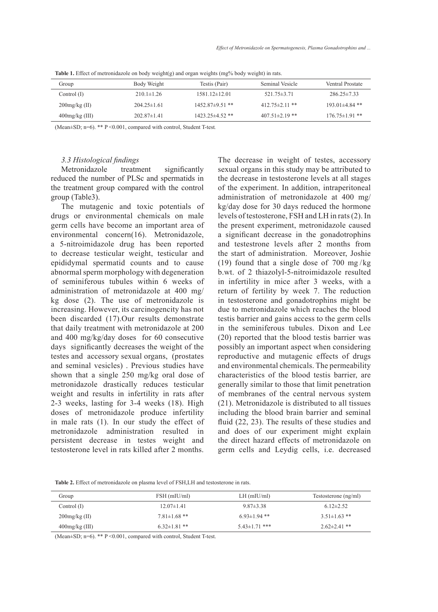| Group             | Body Weight       | Testis (Pair)         | Seminal Vesicle      | Ventral Prostate     |
|-------------------|-------------------|-----------------------|----------------------|----------------------|
| Control $(I)$     | $210.1 \pm 1.26$  | $1581.12 \pm 12.01$   | $521.75 \pm 3.71$    | $286.25 \pm 7.33$    |
| $200$ mg/kg (II)  | $204.25 \pm 1.61$ | $1452.87\pm9.51$ **   | $412.75 \pm 2.11$ ** | $193.01\pm4.84$ **   |
| $400$ mg/kg (III) | $202.87\pm1.41$   | $1423.25 \pm 4.52$ ** | $407.51 \pm 2.19$ ** | $176.75 \pm 1.91$ ** |

**Table 1.** Effect of metronidazole on body weight(g) and organ weights (mg% body weight) in rats.

(Mean±SD; n=6). \*\* P <0.001, compared with control, Student T-test*.*

## *3.3 Histological findings*

Metronidazole treatment significantly reduced the number of PLSc and spermatids in the treatment group compared with the control group (Table3).

The mutagenic and toxic potentials of drugs or environmental chemicals on male germ cells have become an important area of environmental concern(16). Metronidazole, a 5-nitroimidazole drug has been reported to decrease testicular weight, testicular and epididymal spermatid counts and to cause abnormal sperm morphology with degeneration of seminiferous tubules within 6 weeks of administration of metronidazole at 400 mg/ kg dose (2). The use of metronidazole is increasing. However, its carcinogencity has not been discarded (17).Our results demonstrate that daily treatment with metronidazole at 200 and 400 mg/kg/day doses for 60 consecutive days significantly decreases the weight of the testes and accessory sexual organs, (prostates and seminal vesicles) . Previous studies have shown that a single 250 mg/kg oral dose of metronidazole drastically reduces testicular weight and results in infertility in rats after 2-3 weeks, lasting for 3-4 weeks (18). High doses of metronidazole produce infertility in male rats (1). In our study the effect of metronidazole administration resulted in persistent decrease in testes weight and testosterone level in rats killed after 2 months.

The decrease in weight of testes, accessory sexual organs in this study may be attributed to the decrease in testosterone levels at all stages of the experiment. In addition, intraperitoneal administration of metronidazole at 400 mg/ kg/day dose for 30 days reduced the hormone levels of testosterone, FSH and LH in rats (2). In the present experiment, metronidazole caused a significant decrease in the gonadotrophins and testestrone levels after 2 months from the start of administration. Moreover, Joshie (19) found that a single dose of 700 mg/kg b.wt. of 2 thiazolyl-5-nitroimidazole resulted in infertility in mice after 3 weeks, with a return of fertility by week 7. The reduction in testosterone and gonadotrophins might be due to metronidazole which reaches the blood testis barrier and gains access to the germ cells in the seminiferous tubules. Dixon and Lee (20) reported that the blood testis barrier was possibly an important aspect when considering reproductive and mutagenic effects of drugs and environmental chemicals. The permeability characteristics of the blood testis barrier, are generally similar to those that limit penetration of membranes of the central nervous system (21). Metronidazole is distributed to all tissues including the blood brain barrier and seminal fluid (22, 23). The results of these studies and and does of our experiment might explain the direct hazard effects of metronidazole on germ cells and Leydig cells, i.e. decreased

**Table 2.** Effect of metronidazole on plasma level of FSH,LH and testosterone in rats.

| Group             | FSH (mIU/ml)       | $LH$ (mIU/ml)       | Testosterone (ng/ml) |
|-------------------|--------------------|---------------------|----------------------|
| Control (I)       | $12.07\pm1.41$     | $9.87\pm3.38$       | $6.12\pm2.52$        |
| $200$ mg/kg (II)  | $7.81 \pm 1.68$ ** | $6.93 \pm 1.94$ **  | $3.51 \pm 1.63$ **   |
| $400$ mg/kg (III) | $6.32 \pm 1.81$ ** | $5.43 \pm 1.71$ *** | $2.62 \pm 2.41$ **   |

(Mean±SD; n=6). \*\* P <0.001, compared with control, Student T-test.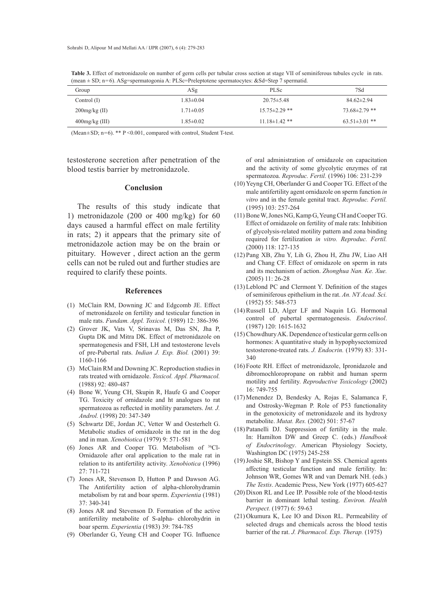**Table 3.** Effect of metronidazole on number of germ cells per tubular cross section at stage VII of seminiferous tubules cycle in rats. (mean ± SD; n=6). ASg=spermatogonia A: PLSc=Preleptotene spermatocytes: &Sd=Step 7 spermatid.

| Group             | ASg             | <b>PLSc</b>         | 7Sd                 |
|-------------------|-----------------|---------------------|---------------------|
| Control $(I)$     | $1.83 \pm 0.04$ | $20.75 \pm 5.48$    | $84.62 \pm 2.94$    |
| $200$ mg/kg (II)  | $1.71 \pm 0.05$ | $15.75 \pm 2.29$ ** | $73.68 \pm 2.79$ ** |
| $400$ mg/kg (III) | $1.85 \pm 0.02$ | $11.18 \pm 1.42$ ** | $63.51 \pm 3.01$ ** |

(Mean±SD; n=6). \*\* P <0.001, compared with control, Student T-test.

testosterone secretion after penetration of the blood testis barrier by metronidazole.

#### **Conclusion**

The results of this study indicate that 1) metronidazole (200 or 400 mg/kg) for 60 days caused a harmful effect on male fertility in rats; 2) it appears that the primary site of metronidazole action may be on the brain or pituitary. However , direct action an the germ cells can not be ruled out and further studies are required to clarify these points.

#### **References**

- McClain RM, Downing JC and Edgcomb JE. Effect (1) of metronidazole on fertility and testicular function in male rats. *Fundam. Appl. Toxicol.* (1989) 12: 386-396
- Grover JK, Vats V, Srinavas M, Das SN, Jha P, (2) Gupta DK and Mitra DK. Effect of metronidazole on spermatogenesis and FSH, LH and testosterone levels of pre-Pubertal rats. *Indian J. Exp. Biol.* (2001) 39: 1160-1166
- McClain RM and Downing JC. Reproduction studies in (3) rats treated with ornidazole. *Toxicol. Appl. Pharmacol.* (1988) 92: 480-487
- (4) Bone W, Yeung CH, Skupin R, Haufe G and Cooper TG. Toxicity of ornidazole and ht analogues to rat spermatozoa as reflected in motility parameters. *Int. J. Androl.* (1998) 20: 347-349
- (5) Schwartz DE, Jordan JC, Vetter W and Oesterhelt G. Metabolic studies of ornidazole in the rat in the dog and in man. *Xenobiotica* (1979) 9: 571-581
- (6) Jones AR and Cooper TG. Metabolism of  $36$ Cl-Ornidazole after oral application to the male rat in relation to its antifertility activity. *Xenobiotica* (1996) 27: 711-721
- (7) Jones AR, Stevenson D, Hutton P and Dawson AG. The Antifertility action of alpha-chlorohydramin metabolism by rat and boar sperm. *Experientia* (1981) 37: 340-341
- Jones AR and Stevenson D. Formation of the active (8) antifertility metabolite of S-alpha- chlorohydrin in boar sperm. *Experientia* (1983) 39: 784-785
- (9) Oberlander G, Yeung CH and Cooper TG. Influence

of oral administration of ornidazole on capacitation and the activity of some glycolytic enzymes of rat spermatozoa. *Reproduc. Fertil.* (1996) 106: 231-239

- (10) Yeyng CH, Oberlander G and Cooper TG. Effect of the male antifertility agent ornidazole on sperm function *in vitro* and in the female genital tract. *Reproduc. Fertil.* (1995) 103: 257-264
- (11) Bone W, Jones NG, Kamp G, Yeung CH and Cooper TG. Effect of ornidazole on fertility of male rats: Inhibition of glycolysis-related motility pattern and zona binding required for fertilization *in vitro. Reproduc. Fertil.*  (2000) 118: 127-135
- Pang XB, Zhu Y, Lih G, Zhou H, Zhu JW, Liao AH (12) and Chang CF. Effect of ornidazole on sperm in rats and its mechanism of action. *Zhonghua Nan. Ke. Xue.* (2005) 11: 26-28
- Leblond PC and Clermont Y. Definition of the stages (13) of seminiferous epithelium in the rat. *An. NY Acad. Sci.* (1952) 55: 548-573
- (14) Russell LD, Alger LF and Naquin LG. Hormonal control of pubertal spermatogenesis. *Endocrinol*. (1987) 120: 1615-1632
- (15) Chowdhury AK. Dependence of testicular germ cells on hormones: A quantitative study in hypophysectomized testosterone-treated rats. *J. Endocrin.* (1979) 83: 331- 340
- (16) Foote RH. Effect of metronidazole, Ipronidazole and dibromochloropropane on rabbit and human sperm motility and fertility. *Reproductive Toxicology* (2002) 16: 749-755
- Menendez D, Bendesky A, Rojas E, Salamanca F, (17) and Ostrosky-Wegman P. Role of P53 functionality in the genotoxicity of metronidazole and its hydroxy metabolite. *Mutat. Res.* (2002) 501: 57-67
- (18) Patanelli DJ. Suppression of fertility in the male. In: Hamilton DW and Greep C. (eds.) *Handbook of Endocrinology*. American Physiology Society, Washington DC (1975) 245-258
- (19) Joshie SR, Bishop Y and Epstein SS. Chemical agents affecting testicular function and male fertility. In: Johnson WR, Gomes WR and van Demark NH. (eds.) *The Testis*. Academic Press, New York (1977) 605-627
- $(20)$  Dixon RL and Lee IP. Possible role of the blood-testis barrier in dominant lethal testing. *Environ. Health Perspect.* (1977) 6: 59-63
- $(21)$  Okumura K, Lee IO and Dixon RL. Permeability of selected drugs and chemicals across the blood testis barrier of the rat. *J. Pharmacol. Exp. Therap.* (1975)